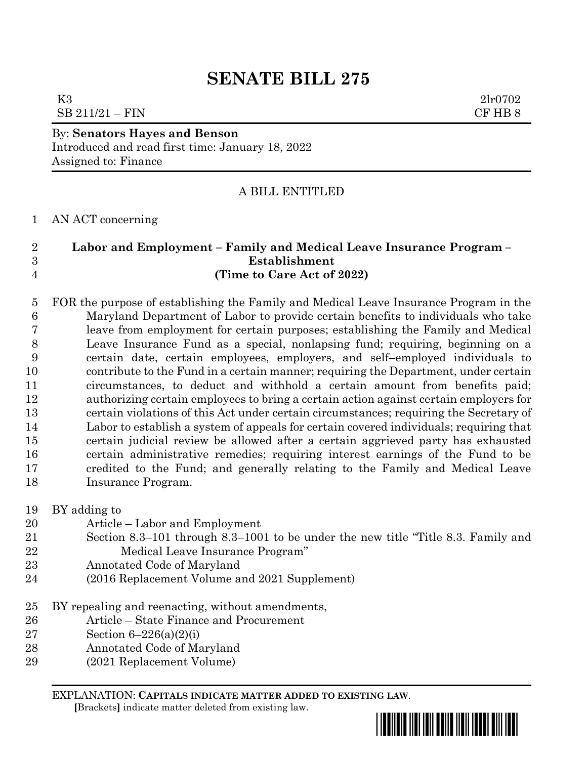# **SENATE BILL 275**

K3 2lr0702  $SB 211/21 - FIN$  CF HB 8

## By: **Senators Hayes and Benson** Introduced and read first time: January 18, 2022

Assigned to: Finance

# A BILL ENTITLED

# AN ACT concerning

# **Labor and Employment – Family and Medical Leave Insurance Program – Establishment (Time to Care Act of 2022)**

 FOR the purpose of establishing the Family and Medical Leave Insurance Program in the Maryland Department of Labor to provide certain benefits to individuals who take leave from employment for certain purposes; establishing the Family and Medical Leave Insurance Fund as a special, nonlapsing fund; requiring, beginning on a certain date, certain employees, employers, and self–employed individuals to contribute to the Fund in a certain manner; requiring the Department, under certain circumstances, to deduct and withhold a certain amount from benefits paid; authorizing certain employees to bring a certain action against certain employers for certain violations of this Act under certain circumstances; requiring the Secretary of Labor to establish a system of appeals for certain covered individuals; requiring that certain judicial review be allowed after a certain aggrieved party has exhausted certain administrative remedies; requiring interest earnings of the Fund to be credited to the Fund; and generally relating to the Family and Medical Leave Insurance Program.

BY adding to

- Article Labor and Employment
- Section 8.3–101 through 8.3–1001 to be under the new title "Title 8.3. Family and Medical Leave Insurance Program"
- Annotated Code of Maryland
- (2016 Replacement Volume and 2021 Supplement)
- BY repealing and reenacting, without amendments,
- Article State Finance and Procurement
- Section 6–226(a)(2)(i)
- Annotated Code of Maryland
- (2021 Replacement Volume)

EXPLANATION: **CAPITALS INDICATE MATTER ADDED TO EXISTING LAW**.

 **[**Brackets**]** indicate matter deleted from existing law.

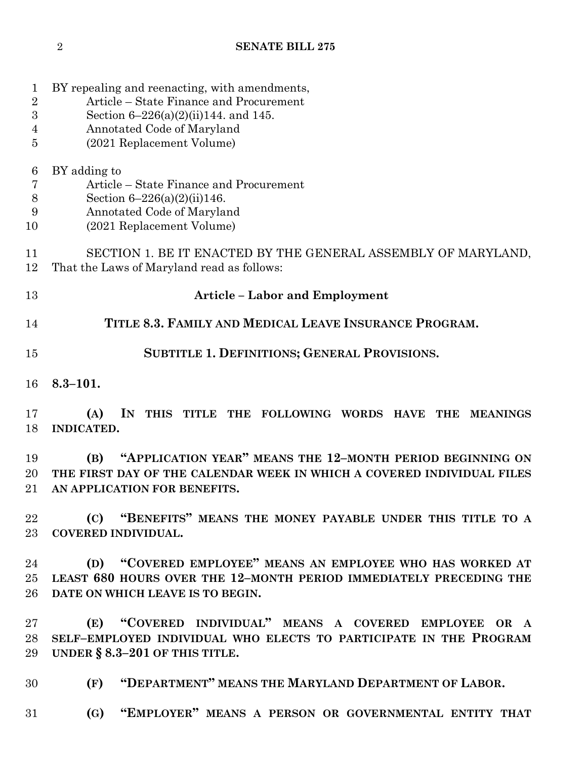BY repealing and reenacting, with amendments, Article – State Finance and Procurement Section 6–226(a)(2)(ii)144. and 145. Annotated Code of Maryland (2021 Replacement Volume) BY adding to Article – State Finance and Procurement Section 6–226(a)(2)(ii)146. Annotated Code of Maryland (2021 Replacement Volume) SECTION 1. BE IT ENACTED BY THE GENERAL ASSEMBLY OF MARYLAND, That the Laws of Maryland read as follows: **Article – Labor and Employment TITLE 8.3. FAMILY AND MEDICAL LEAVE INSURANCE PROGRAM. SUBTITLE 1. DEFINITIONS; GENERAL PROVISIONS. 8.3–101. (A) IN THIS TITLE THE FOLLOWING WORDS HAVE THE MEANINGS INDICATED. (B) "APPLICATION YEAR" MEANS THE 12–MONTH PERIOD BEGINNING ON THE FIRST DAY OF THE CALENDAR WEEK IN WHICH A COVERED INDIVIDUAL FILES AN APPLICATION FOR BENEFITS. (C) "BENEFITS" MEANS THE MONEY PAYABLE UNDER THIS TITLE TO A COVERED INDIVIDUAL. (D) "COVERED EMPLOYEE" MEANS AN EMPLOYEE WHO HAS WORKED AT LEAST 680 HOURS OVER THE 12–MONTH PERIOD IMMEDIATELY PRECEDING THE DATE ON WHICH LEAVE IS TO BEGIN. (E) "COVERED INDIVIDUAL" MEANS A COVERED EMPLOYEE OR A SELF–EMPLOYED INDIVIDUAL WHO ELECTS TO PARTICIPATE IN THE PROGRAM UNDER § 8.3–201 OF THIS TITLE. (F) "DEPARTMENT" MEANS THE MARYLAND DEPARTMENT OF LABOR. (G) "EMPLOYER" MEANS A PERSON OR GOVERNMENTAL ENTITY THAT**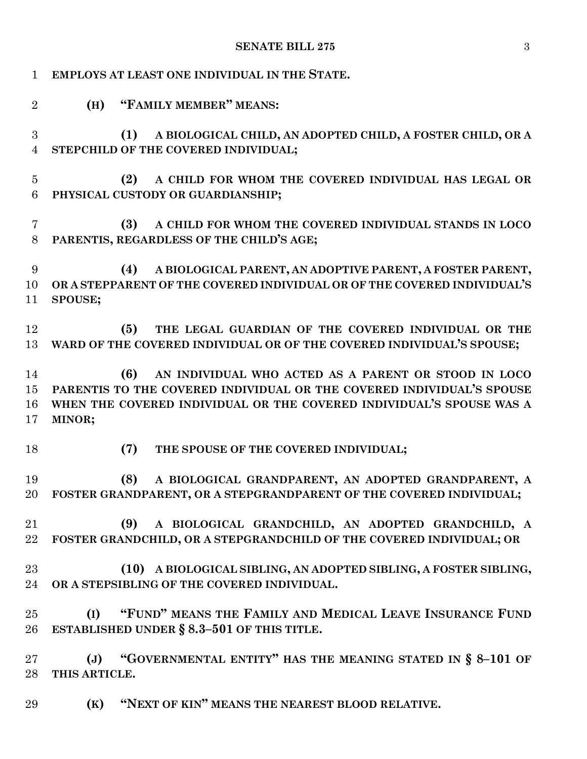| $\mathbf{1}$                 | EMPLOYS AT LEAST ONE INDIVIDUAL IN THE STATE.                                                                                                                                                                          |
|------------------------------|------------------------------------------------------------------------------------------------------------------------------------------------------------------------------------------------------------------------|
| $\overline{2}$               | (H) "FAMILY MEMBER" MEANS:                                                                                                                                                                                             |
| 3<br>$\overline{4}$          | A BIOLOGICAL CHILD, AN ADOPTED CHILD, A FOSTER CHILD, OR A<br>(1)<br>STEPCHILD OF THE COVERED INDIVIDUAL;                                                                                                              |
| $\overline{5}$<br>$\,6$      | A CHILD FOR WHOM THE COVERED INDIVIDUAL HAS LEGAL OR<br>(2)<br>PHYSICAL CUSTODY OR GUARDIANSHIP;                                                                                                                       |
| $\overline{7}$<br>8          | A CHILD FOR WHOM THE COVERED INDIVIDUAL STANDS IN LOCO<br>(3)<br>PARENTIS, REGARDLESS OF THE CHILD'S AGE;                                                                                                              |
| $\boldsymbol{9}$<br>10<br>11 | A BIOLOGICAL PARENT, AN ADOPTIVE PARENT, A FOSTER PARENT,<br>(4)<br>OR A STEPPARENT OF THE COVERED INDIVIDUAL OR OF THE COVERED INDIVIDUAL'S<br>SPOUSE;                                                                |
| 12<br>13                     | THE LEGAL GUARDIAN OF THE COVERED INDIVIDUAL OR THE<br>(5)<br>WARD OF THE COVERED INDIVIDUAL OR OF THE COVERED INDIVIDUAL'S SPOUSE;                                                                                    |
| 14<br>15<br>16<br>17         | AN INDIVIDUAL WHO ACTED AS A PARENT OR STOOD IN LOCO<br>(6)<br>PARENTIS TO THE COVERED INDIVIDUAL OR THE COVERED INDIVIDUAL'S SPOUSE<br>WHEN THE COVERED INDIVIDUAL OR THE COVERED INDIVIDUAL'S SPOUSE WAS A<br>MINOR; |
| 18                           | (7)<br>THE SPOUSE OF THE COVERED INDIVIDUAL;                                                                                                                                                                           |
| 19<br>20                     | (8)<br>A BIOLOGICAL GRANDPARENT, AN ADOPTED GRANDPARENT, A<br>FOSTER GRANDPARENT, OR A STEPGRANDPARENT OF THE COVERED INDIVIDUAL;                                                                                      |
| 21<br>22                     | (9)<br>A BIOLOGICAL GRANDCHILD, AN ADOPTED GRANDCHILD, A<br>FOSTER GRANDCHILD, OR A STEPGRANDCHILD OF THE COVERED INDIVIDUAL; OR                                                                                       |
| 23<br>24                     | (10) A BIOLOGICAL SIBLING, AN ADOPTED SIBLING, A FOSTER SIBLING,<br>OR A STEPSIBLING OF THE COVERED INDIVIDUAL.                                                                                                        |
| 25<br>26                     | "FUND" MEANS THE FAMILY AND MEDICAL LEAVE INSURANCE FUND<br>(I)<br>ESTABLISHED UNDER § 8.3-501 OF THIS TITLE.                                                                                                          |
| 27<br>28                     | "GOVERNMENTAL ENTITY" HAS THE MEANING STATED IN $\S$ 8-101 OF<br>$(\mathbf{J})$<br>THIS ARTICLE.                                                                                                                       |
| 29                           | "NEXT OF KIN" MEANS THE NEAREST BLOOD RELATIVE.<br>(K)                                                                                                                                                                 |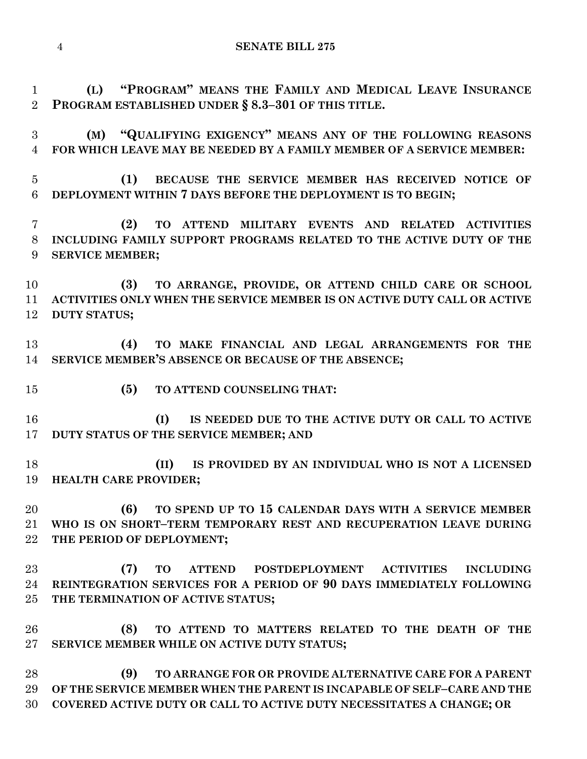**(L) "PROGRAM" MEANS THE FAMILY AND MEDICAL LEAVE INSURANCE PROGRAM ESTABLISHED UNDER § 8.3–301 OF THIS TITLE.**

 **(M) "QUALIFYING EXIGENCY" MEANS ANY OF THE FOLLOWING REASONS FOR WHICH LEAVE MAY BE NEEDED BY A FAMILY MEMBER OF A SERVICE MEMBER:**

 **(1) BECAUSE THE SERVICE MEMBER HAS RECEIVED NOTICE OF DEPLOYMENT WITHIN 7 DAYS BEFORE THE DEPLOYMENT IS TO BEGIN;**

 **(2) TO ATTEND MILITARY EVENTS AND RELATED ACTIVITIES INCLUDING FAMILY SUPPORT PROGRAMS RELATED TO THE ACTIVE DUTY OF THE SERVICE MEMBER;**

 **(3) TO ARRANGE, PROVIDE, OR ATTEND CHILD CARE OR SCHOOL ACTIVITIES ONLY WHEN THE SERVICE MEMBER IS ON ACTIVE DUTY CALL OR ACTIVE DUTY STATUS;**

 **(4) TO MAKE FINANCIAL AND LEGAL ARRANGEMENTS FOR THE SERVICE MEMBER'S ABSENCE OR BECAUSE OF THE ABSENCE;**

**(5) TO ATTEND COUNSELING THAT:**

 **(I) IS NEEDED DUE TO THE ACTIVE DUTY OR CALL TO ACTIVE DUTY STATUS OF THE SERVICE MEMBER; AND**

 **(II) IS PROVIDED BY AN INDIVIDUAL WHO IS NOT A LICENSED HEALTH CARE PROVIDER;**

 **(6) TO SPEND UP TO 15 CALENDAR DAYS WITH A SERVICE MEMBER WHO IS ON SHORT–TERM TEMPORARY REST AND RECUPERATION LEAVE DURING THE PERIOD OF DEPLOYMENT;**

 **(7) TO ATTEND POSTDEPLOYMENT ACTIVITIES INCLUDING REINTEGRATION SERVICES FOR A PERIOD OF 90 DAYS IMMEDIATELY FOLLOWING THE TERMINATION OF ACTIVE STATUS;**

 **(8) TO ATTEND TO MATTERS RELATED TO THE DEATH OF THE SERVICE MEMBER WHILE ON ACTIVE DUTY STATUS;**

 **(9) TO ARRANGE FOR OR PROVIDE ALTERNATIVE CARE FOR A PARENT OF THE SERVICE MEMBER WHEN THE PARENT IS INCAPABLE OF SELF–CARE AND THE COVERED ACTIVE DUTY OR CALL TO ACTIVE DUTY NECESSITATES A CHANGE; OR**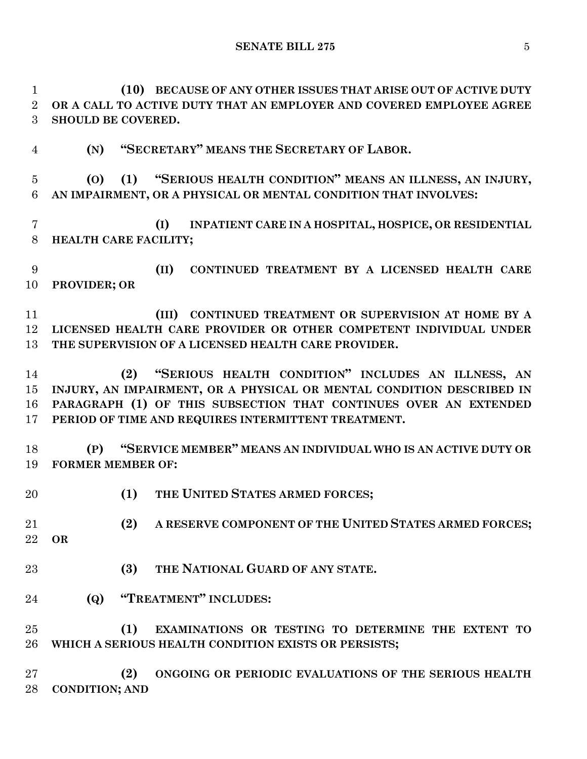**(10) BECAUSE OF ANY OTHER ISSUES THAT ARISE OUT OF ACTIVE DUTY OR A CALL TO ACTIVE DUTY THAT AN EMPLOYER AND COVERED EMPLOYEE AGREE SHOULD BE COVERED.**

**(N) "SECRETARY" MEANS THE SECRETARY OF LABOR.**

 **(O) (1) "SERIOUS HEALTH CONDITION" MEANS AN ILLNESS, AN INJURY, AN IMPAIRMENT, OR A PHYSICAL OR MENTAL CONDITION THAT INVOLVES:**

 **(I) INPATIENT CARE IN A HOSPITAL, HOSPICE, OR RESIDENTIAL HEALTH CARE FACILITY;**

 **(II) CONTINUED TREATMENT BY A LICENSED HEALTH CARE PROVIDER; OR**

 **(III) CONTINUED TREATMENT OR SUPERVISION AT HOME BY A LICENSED HEALTH CARE PROVIDER OR OTHER COMPETENT INDIVIDUAL UNDER THE SUPERVISION OF A LICENSED HEALTH CARE PROVIDER.**

 **(2) "SERIOUS HEALTH CONDITION" INCLUDES AN ILLNESS, AN INJURY, AN IMPAIRMENT, OR A PHYSICAL OR MENTAL CONDITION DESCRIBED IN PARAGRAPH (1) OF THIS SUBSECTION THAT CONTINUES OVER AN EXTENDED PERIOD OF TIME AND REQUIRES INTERMITTENT TREATMENT.**

 **(P) "SERVICE MEMBER" MEANS AN INDIVIDUAL WHO IS AN ACTIVE DUTY OR FORMER MEMBER OF:**

**(1) THE UNITED STATES ARMED FORCES;**

 **(2) A RESERVE COMPONENT OF THE UNITED STATES ARMED FORCES; OR**

- **(3) THE NATIONAL GUARD OF ANY STATE.**
- **(Q) "TREATMENT" INCLUDES:**

 **(1) EXAMINATIONS OR TESTING TO DETERMINE THE EXTENT TO WHICH A SERIOUS HEALTH CONDITION EXISTS OR PERSISTS;**

 **(2) ONGOING OR PERIODIC EVALUATIONS OF THE SERIOUS HEALTH CONDITION; AND**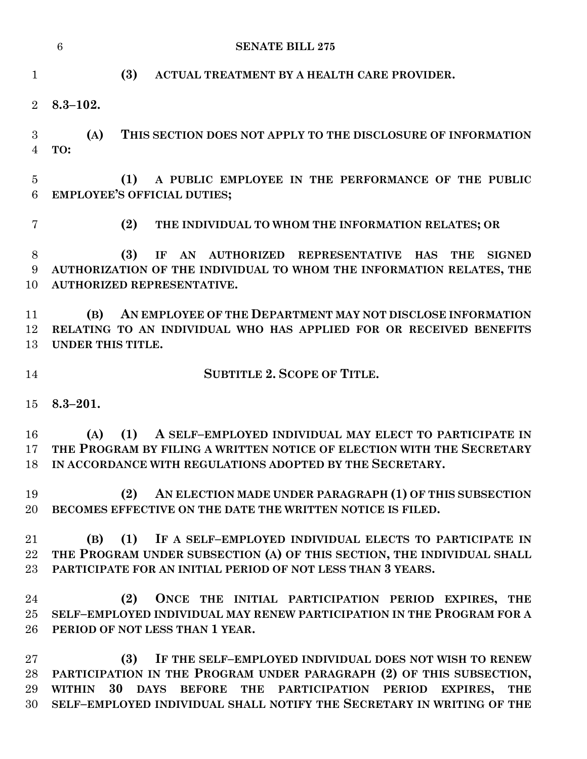|                 | $6\phantom{1}6$<br><b>SENATE BILL 275</b>                                                              |  |
|-----------------|--------------------------------------------------------------------------------------------------------|--|
|                 |                                                                                                        |  |
| $\mathbf{1}$    | (3)<br>ACTUAL TREATMENT BY A HEALTH CARE PROVIDER.                                                     |  |
| $\overline{2}$  | $8.3 - 102.$                                                                                           |  |
|                 |                                                                                                        |  |
| 3               | (A)<br>THIS SECTION DOES NOT APPLY TO THE DISCLOSURE OF INFORMATION                                    |  |
| 4               | TO:                                                                                                    |  |
|                 |                                                                                                        |  |
| $\overline{5}$  | A PUBLIC EMPLOYEE IN THE PERFORMANCE OF THE PUBLIC<br>(1)                                              |  |
| $6\phantom{.}6$ | <b>EMPLOYEE'S OFFICIAL DUTIES;</b>                                                                     |  |
| $\overline{7}$  | (2)<br>THE INDIVIDUAL TO WHOM THE INFORMATION RELATES; OR                                              |  |
| 8               | (3)<br>AN AUTHORIZED REPRESENTATIVE HAS<br><b>THE</b><br><b>SIGNED</b><br>IF                           |  |
| 9               | AUTHORIZATION OF THE INDIVIDUAL TO WHOM THE INFORMATION RELATES, THE                                   |  |
| 10              | AUTHORIZED REPRESENTATIVE.                                                                             |  |
|                 |                                                                                                        |  |
| 11              | AN EMPLOYEE OF THE DEPARTMENT MAY NOT DISCLOSE INFORMATION<br>(B)                                      |  |
| 12              | RELATING TO AN INDIVIDUAL WHO HAS APPLIED FOR OR RECEIVED BENEFITS                                     |  |
| 13              | UNDER THIS TITLE.                                                                                      |  |
| 14              | <b>SUBTITLE 2. SCOPE OF TITLE.</b>                                                                     |  |
| 15              | $8.3 - 201.$                                                                                           |  |
|                 |                                                                                                        |  |
| 16              | A SELF-EMPLOYED INDIVIDUAL MAY ELECT TO PARTICIPATE IN<br>(1)<br>(A)                                   |  |
| 17              | THE PROGRAM BY FILING A WRITTEN NOTICE OF ELECTION WITH THE SECRETARY                                  |  |
| 18              | IN ACCORDANCE WITH REGULATIONS ADOPTED BY THE SECRETARY.                                               |  |
| 19              | AN ELECTION MADE UNDER PARAGRAPH (1) OF THIS SUBSECTION<br>(2)                                         |  |
| 20              | BECOMES EFFECTIVE ON THE DATE THE WRITTEN NOTICE IS FILED.                                             |  |
|                 |                                                                                                        |  |
| 21              | (1)<br>IF A SELF-EMPLOYED INDIVIDUAL ELECTS TO PARTICIPATE IN<br>(B)                                   |  |
| 22              | THE PROGRAM UNDER SUBSECTION (A) OF THIS SECTION, THE INDIVIDUAL SHALL                                 |  |
| 23              | PARTICIPATE FOR AN INITIAL PERIOD OF NOT LESS THAN 3 YEARS.                                            |  |
|                 |                                                                                                        |  |
| 24              | (2)<br>ONCE THE INITIAL PARTICIPATION PERIOD EXPIRES, THE                                              |  |
| 25              | SELF-EMPLOYED INDIVIDUAL MAY RENEW PARTICIPATION IN THE PROGRAM FOR A                                  |  |
| 26              | PERIOD OF NOT LESS THAN 1 YEAR.                                                                        |  |
| 27              | (3)<br>IF THE SELF-EMPLOYED INDIVIDUAL DOES NOT WISH TO RENEW                                          |  |
| 28              | PARTICIPATION IN THE PROGRAM UNDER PARAGRAPH (2) OF THIS SUBSECTION,                                   |  |
| 29              | 30<br>BEFORE THE PARTICIPATION PERIOD<br><b>WITHIN</b><br><b>DAYS</b><br><b>EXPIRES,</b><br><b>THE</b> |  |
| 30              | SELF-EMPLOYED INDIVIDUAL SHALL NOTIFY THE SECRETARY IN WRITING OF THE                                  |  |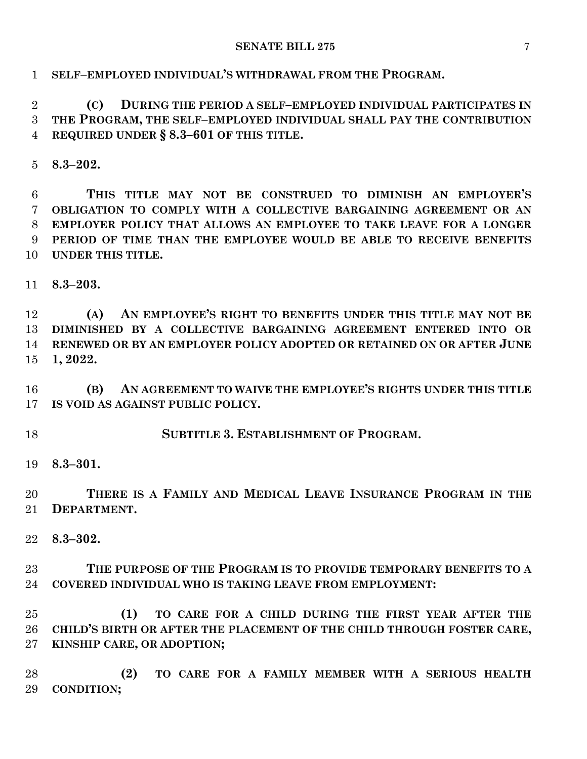# **SELF–EMPLOYED INDIVIDUAL'S WITHDRAWAL FROM THE PROGRAM.**

 **(C) DURING THE PERIOD A SELF–EMPLOYED INDIVIDUAL PARTICIPATES IN THE PROGRAM, THE SELF–EMPLOYED INDIVIDUAL SHALL PAY THE CONTRIBUTION REQUIRED UNDER § 8.3–601 OF THIS TITLE.**

**8.3–202.**

 **THIS TITLE MAY NOT BE CONSTRUED TO DIMINISH AN EMPLOYER'S OBLIGATION TO COMPLY WITH A COLLECTIVE BARGAINING AGREEMENT OR AN EMPLOYER POLICY THAT ALLOWS AN EMPLOYEE TO TAKE LEAVE FOR A LONGER PERIOD OF TIME THAN THE EMPLOYEE WOULD BE ABLE TO RECEIVE BENEFITS UNDER THIS TITLE.**

**8.3–203.**

 **(A) AN EMPLOYEE'S RIGHT TO BENEFITS UNDER THIS TITLE MAY NOT BE DIMINISHED BY A COLLECTIVE BARGAINING AGREEMENT ENTERED INTO OR RENEWED OR BY AN EMPLOYER POLICY ADOPTED OR RETAINED ON OR AFTER JUNE 1, 2022.**

 **(B) AN AGREEMENT TO WAIVE THE EMPLOYEE'S RIGHTS UNDER THIS TITLE IS VOID AS AGAINST PUBLIC POLICY.**

**SUBTITLE 3. ESTABLISHMENT OF PROGRAM.**

**8.3–301.**

 **THERE IS A FAMILY AND MEDICAL LEAVE INSURANCE PROGRAM IN THE DEPARTMENT.**

**8.3–302.**

 **THE PURPOSE OF THE PROGRAM IS TO PROVIDE TEMPORARY BENEFITS TO A COVERED INDIVIDUAL WHO IS TAKING LEAVE FROM EMPLOYMENT:**

 **(1) TO CARE FOR A CHILD DURING THE FIRST YEAR AFTER THE CHILD'S BIRTH OR AFTER THE PLACEMENT OF THE CHILD THROUGH FOSTER CARE, KINSHIP CARE, OR ADOPTION;**

 **(2) TO CARE FOR A FAMILY MEMBER WITH A SERIOUS HEALTH CONDITION;**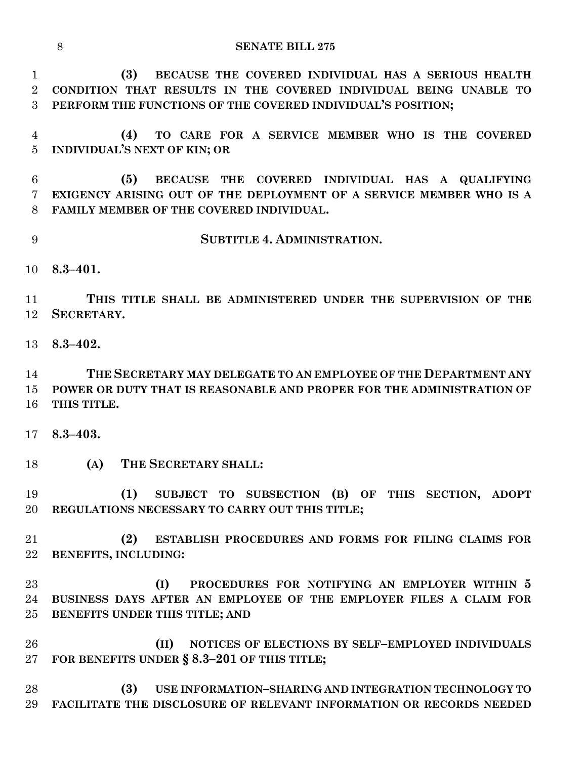| <b>SENATE BILL 275</b> |
|------------------------|
|                        |

 **(3) BECAUSE THE COVERED INDIVIDUAL HAS A SERIOUS HEALTH CONDITION THAT RESULTS IN THE COVERED INDIVIDUAL BEING UNABLE TO PERFORM THE FUNCTIONS OF THE COVERED INDIVIDUAL'S POSITION;**

 **(4) TO CARE FOR A SERVICE MEMBER WHO IS THE COVERED INDIVIDUAL'S NEXT OF KIN; OR**

 **(5) BECAUSE THE COVERED INDIVIDUAL HAS A QUALIFYING EXIGENCY ARISING OUT OF THE DEPLOYMENT OF A SERVICE MEMBER WHO IS A FAMILY MEMBER OF THE COVERED INDIVIDUAL.**

- **SUBTITLE 4. ADMINISTRATION.**
- **8.3–401.**

 **THIS TITLE SHALL BE ADMINISTERED UNDER THE SUPERVISION OF THE SECRETARY.**

**8.3–402.**

 **THE SECRETARY MAY DELEGATE TO AN EMPLOYEE OF THE DEPARTMENT ANY POWER OR DUTY THAT IS REASONABLE AND PROPER FOR THE ADMINISTRATION OF THIS TITLE.**

- **8.3–403.**
- **(A) THE SECRETARY SHALL:**

 **(1) SUBJECT TO SUBSECTION (B) OF THIS SECTION, ADOPT REGULATIONS NECESSARY TO CARRY OUT THIS TITLE;**

 **(2) ESTABLISH PROCEDURES AND FORMS FOR FILING CLAIMS FOR BENEFITS, INCLUDING:**

 **(I) PROCEDURES FOR NOTIFYING AN EMPLOYER WITHIN 5 BUSINESS DAYS AFTER AN EMPLOYEE OF THE EMPLOYER FILES A CLAIM FOR BENEFITS UNDER THIS TITLE; AND**

 **(II) NOTICES OF ELECTIONS BY SELF–EMPLOYED INDIVIDUALS FOR BENEFITS UNDER § 8.3–201 OF THIS TITLE;**

 **(3) USE INFORMATION–SHARING AND INTEGRATION TECHNOLOGY TO FACILITATE THE DISCLOSURE OF RELEVANT INFORMATION OR RECORDS NEEDED**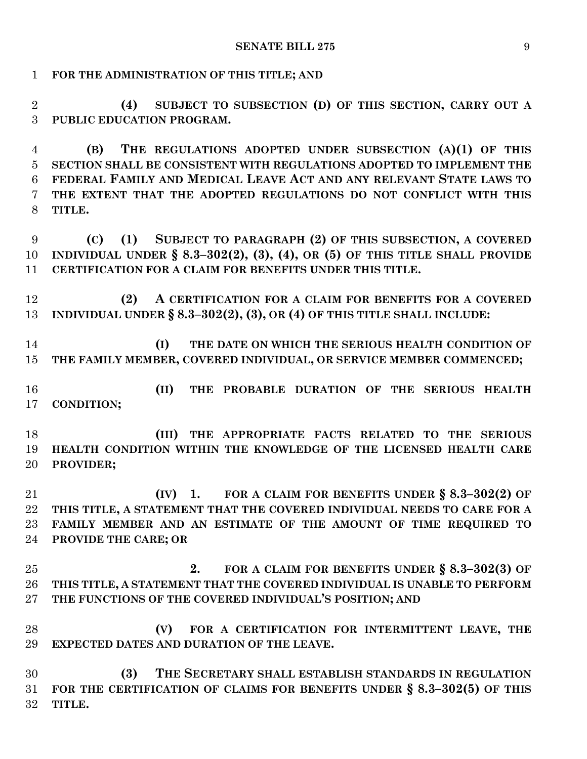**FOR THE ADMINISTRATION OF THIS TITLE; AND**

 **(4) SUBJECT TO SUBSECTION (D) OF THIS SECTION, CARRY OUT A PUBLIC EDUCATION PROGRAM.**

 **(B) THE REGULATIONS ADOPTED UNDER SUBSECTION (A)(1) OF THIS SECTION SHALL BE CONSISTENT WITH REGULATIONS ADOPTED TO IMPLEMENT THE FEDERAL FAMILY AND MEDICAL LEAVE ACT AND ANY RELEVANT STATE LAWS TO THE EXTENT THAT THE ADOPTED REGULATIONS DO NOT CONFLICT WITH THIS TITLE.**

 **(C) (1) SUBJECT TO PARAGRAPH (2) OF THIS SUBSECTION, A COVERED INDIVIDUAL UNDER § 8.3–302(2), (3), (4), OR (5) OF THIS TITLE SHALL PROVIDE CERTIFICATION FOR A CLAIM FOR BENEFITS UNDER THIS TITLE.**

 **(2) A CERTIFICATION FOR A CLAIM FOR BENEFITS FOR A COVERED INDIVIDUAL UNDER § 8.3–302(2), (3), OR (4) OF THIS TITLE SHALL INCLUDE:**

 **(I) THE DATE ON WHICH THE SERIOUS HEALTH CONDITION OF THE FAMILY MEMBER, COVERED INDIVIDUAL, OR SERVICE MEMBER COMMENCED;**

 **(II) THE PROBABLE DURATION OF THE SERIOUS HEALTH CONDITION;**

 **(III) THE APPROPRIATE FACTS RELATED TO THE SERIOUS HEALTH CONDITION WITHIN THE KNOWLEDGE OF THE LICENSED HEALTH CARE PROVIDER;**

 **(IV) 1. FOR A CLAIM FOR BENEFITS UNDER § 8.3–302(2) OF THIS TITLE, A STATEMENT THAT THE COVERED INDIVIDUAL NEEDS TO CARE FOR A FAMILY MEMBER AND AN ESTIMATE OF THE AMOUNT OF TIME REQUIRED TO PROVIDE THE CARE; OR**

 **2. FOR A CLAIM FOR BENEFITS UNDER § 8.3–302(3) OF THIS TITLE, A STATEMENT THAT THE COVERED INDIVIDUAL IS UNABLE TO PERFORM THE FUNCTIONS OF THE COVERED INDIVIDUAL'S POSITION; AND**

 **(V) FOR A CERTIFICATION FOR INTERMITTENT LEAVE, THE EXPECTED DATES AND DURATION OF THE LEAVE.**

 **(3) THE SECRETARY SHALL ESTABLISH STANDARDS IN REGULATION FOR THE CERTIFICATION OF CLAIMS FOR BENEFITS UNDER § 8.3–302(5) OF THIS TITLE.**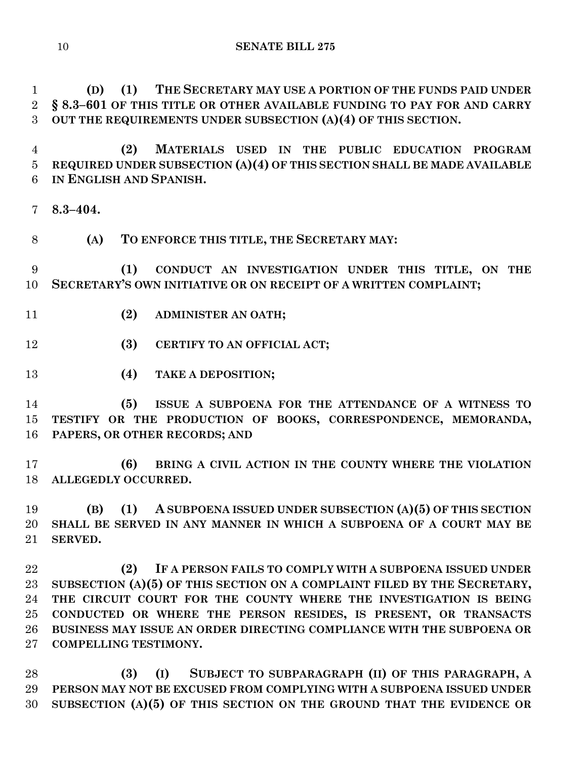**(D) (1) THE SECRETARY MAY USE A PORTION OF THE FUNDS PAID UNDER § 8.3–601 OF THIS TITLE OR OTHER AVAILABLE FUNDING TO PAY FOR AND CARRY OUT THE REQUIREMENTS UNDER SUBSECTION (A)(4) OF THIS SECTION.**

 **(2) MATERIALS USED IN THE PUBLIC EDUCATION PROGRAM REQUIRED UNDER SUBSECTION (A)(4) OF THIS SECTION SHALL BE MADE AVAILABLE IN ENGLISH AND SPANISH.**

**8.3–404.**

**(A) TO ENFORCE THIS TITLE, THE SECRETARY MAY:**

 **(1) CONDUCT AN INVESTIGATION UNDER THIS TITLE, ON THE SECRETARY'S OWN INITIATIVE OR ON RECEIPT OF A WRITTEN COMPLAINT;**

- **(2) ADMINISTER AN OATH;**
- **(3) CERTIFY TO AN OFFICIAL ACT;**
- **(4) TAKE A DEPOSITION;**

 **(5) ISSUE A SUBPOENA FOR THE ATTENDANCE OF A WITNESS TO TESTIFY OR THE PRODUCTION OF BOOKS, CORRESPONDENCE, MEMORANDA, PAPERS, OR OTHER RECORDS; AND**

 **(6) BRING A CIVIL ACTION IN THE COUNTY WHERE THE VIOLATION ALLEGEDLY OCCURRED.**

 **(B) (1) A SUBPOENA ISSUED UNDER SUBSECTION (A)(5) OF THIS SECTION SHALL BE SERVED IN ANY MANNER IN WHICH A SUBPOENA OF A COURT MAY BE SERVED.**

 **(2) IF A PERSON FAILS TO COMPLY WITH A SUBPOENA ISSUED UNDER SUBSECTION (A)(5) OF THIS SECTION ON A COMPLAINT FILED BY THE SECRETARY, THE CIRCUIT COURT FOR THE COUNTY WHERE THE INVESTIGATION IS BEING CONDUCTED OR WHERE THE PERSON RESIDES, IS PRESENT, OR TRANSACTS BUSINESS MAY ISSUE AN ORDER DIRECTING COMPLIANCE WITH THE SUBPOENA OR COMPELLING TESTIMONY.**

 **(3) (I) SUBJECT TO SUBPARAGRAPH (II) OF THIS PARAGRAPH, A PERSON MAY NOT BE EXCUSED FROM COMPLYING WITH A SUBPOENA ISSUED UNDER SUBSECTION (A)(5) OF THIS SECTION ON THE GROUND THAT THE EVIDENCE OR**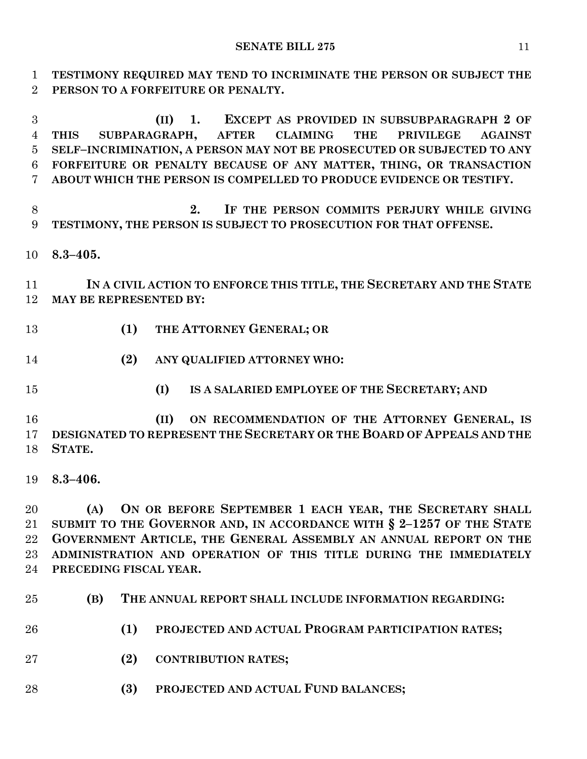**TESTIMONY REQUIRED MAY TEND TO INCRIMINATE THE PERSON OR SUBJECT THE PERSON TO A FORFEITURE OR PENALTY.**

 **(II) 1. EXCEPT AS PROVIDED IN SUBSUBPARAGRAPH 2 OF THIS SUBPARAGRAPH, AFTER CLAIMING THE PRIVILEGE AGAINST SELF–INCRIMINATION, A PERSON MAY NOT BE PROSECUTED OR SUBJECTED TO ANY FORFEITURE OR PENALTY BECAUSE OF ANY MATTER, THING, OR TRANSACTION ABOUT WHICH THE PERSON IS COMPELLED TO PRODUCE EVIDENCE OR TESTIFY.**

 **2. IF THE PERSON COMMITS PERJURY WHILE GIVING TESTIMONY, THE PERSON IS SUBJECT TO PROSECUTION FOR THAT OFFENSE.**

**8.3–405.**

 **IN A CIVIL ACTION TO ENFORCE THIS TITLE, THE SECRETARY AND THE STATE MAY BE REPRESENTED BY:**

- **(1) THE ATTORNEY GENERAL; OR**
- **(2) ANY QUALIFIED ATTORNEY WHO:**
- 
- **(I) IS A SALARIED EMPLOYEE OF THE SECRETARY; AND**

 **(II) ON RECOMMENDATION OF THE ATTORNEY GENERAL, IS DESIGNATED TO REPRESENT THE SECRETARY OR THE BOARD OF APPEALS AND THE STATE.**

**8.3–406.**

 **(A) ON OR BEFORE SEPTEMBER 1 EACH YEAR, THE SECRETARY SHALL SUBMIT TO THE GOVERNOR AND, IN ACCORDANCE WITH § 2–1257 OF THE STATE GOVERNMENT ARTICLE, THE GENERAL ASSEMBLY AN ANNUAL REPORT ON THE ADMINISTRATION AND OPERATION OF THIS TITLE DURING THE IMMEDIATELY PRECEDING FISCAL YEAR.**

- **(B) THE ANNUAL REPORT SHALL INCLUDE INFORMATION REGARDING:**
- **(1) PROJECTED AND ACTUAL PROGRAM PARTICIPATION RATES;**
- **(2) CONTRIBUTION RATES;**
- **(3) PROJECTED AND ACTUAL FUND BALANCES;**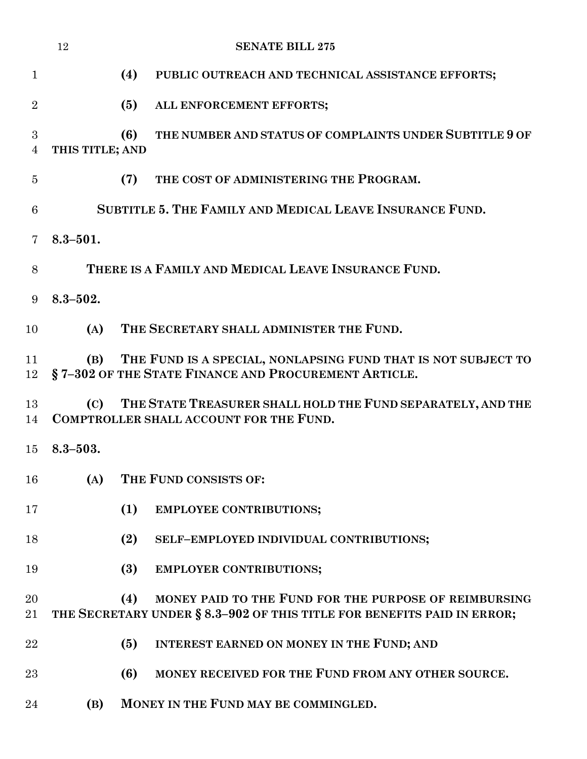|                     | 12              | <b>SENATE BILL 275</b>                                                                                                                  |  |
|---------------------|-----------------|-----------------------------------------------------------------------------------------------------------------------------------------|--|
| $\mathbf{1}$        |                 | (4)<br>PUBLIC OUTREACH AND TECHNICAL ASSISTANCE EFFORTS;                                                                                |  |
| $\overline{2}$      |                 | (5)<br>ALL ENFORCEMENT EFFORTS;                                                                                                         |  |
| 3<br>$\overline{4}$ | THIS TITLE; AND | THE NUMBER AND STATUS OF COMPLAINTS UNDER SUBTITLE 9 OF<br>(6)                                                                          |  |
| $\overline{5}$      |                 | THE COST OF ADMINISTERING THE PROGRAM.<br>(7)                                                                                           |  |
| 6                   |                 | SUBTITLE 5. THE FAMILY AND MEDICAL LEAVE INSURANCE FUND.                                                                                |  |
| $\overline{7}$      | $8.3 - 501.$    |                                                                                                                                         |  |
| 8                   |                 | THERE IS A FAMILY AND MEDICAL LEAVE INSURANCE FUND.                                                                                     |  |
| 9                   | $8.3 - 502.$    |                                                                                                                                         |  |
| 10                  | (A)             | THE SECRETARY SHALL ADMINISTER THE FUND.                                                                                                |  |
| 11<br>12            | (B)             | THE FUND IS A SPECIAL, NONLAPSING FUND THAT IS NOT SUBJECT TO<br>§7-302 OF THE STATE FINANCE AND PROCUREMENT ARTICLE.                   |  |
| 13<br>14            | (C)             | THE STATE TREASURER SHALL HOLD THE FUND SEPARATELY, AND THE<br><b>COMPTROLLER SHALL ACCOUNT FOR THE FUND.</b>                           |  |
| 15 <sup>15</sup>    | $8.3 - 503.$    |                                                                                                                                         |  |
| 16                  | (A)             | THE FUND CONSISTS OF:                                                                                                                   |  |
| 17                  |                 | (1)<br><b>EMPLOYEE CONTRIBUTIONS;</b>                                                                                                   |  |
| 18                  |                 | (2)<br>SELF-EMPLOYED INDIVIDUAL CONTRIBUTIONS;                                                                                          |  |
| 19                  |                 | (3)<br><b>EMPLOYER CONTRIBUTIONS;</b>                                                                                                   |  |
| 20<br>21            |                 | MONEY PAID TO THE FUND FOR THE PURPOSE OF REIMBURSING<br>(4)<br>THE SECRETARY UNDER § 8.3-902 OF THIS TITLE FOR BENEFITS PAID IN ERROR; |  |
| 22                  |                 | (5)<br>INTEREST EARNED ON MONEY IN THE FUND; AND                                                                                        |  |
| 23                  |                 | MONEY RECEIVED FOR THE FUND FROM ANY OTHER SOURCE.<br>(6)                                                                               |  |
| 24                  | (B)             | MONEY IN THE FUND MAY BE COMMINGLED.                                                                                                    |  |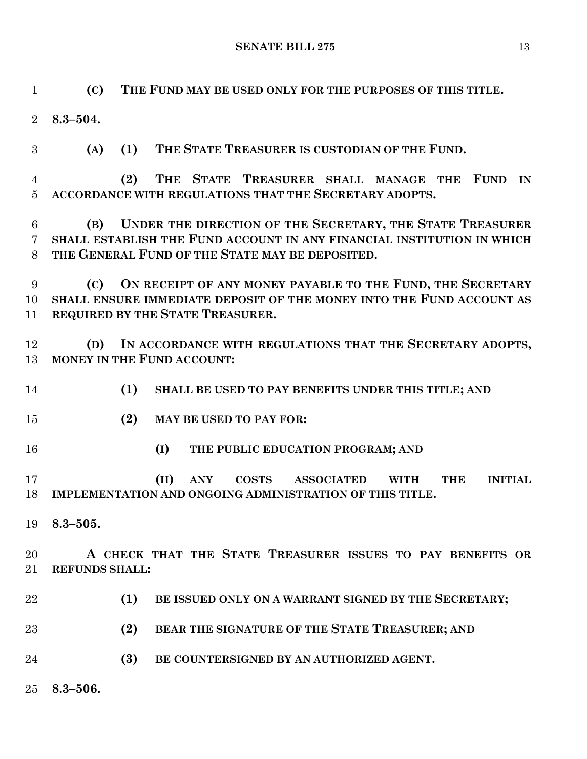**(C) THE FUND MAY BE USED ONLY FOR THE PURPOSES OF THIS TITLE.**

**8.3–504.**

**(A) (1) THE STATE TREASURER IS CUSTODIAN OF THE FUND.**

 **(2) THE STATE TREASURER SHALL MANAGE THE FUND IN ACCORDANCE WITH REGULATIONS THAT THE SECRETARY ADOPTS.**

 **(B) UNDER THE DIRECTION OF THE SECRETARY, THE STATE TREASURER SHALL ESTABLISH THE FUND ACCOUNT IN ANY FINANCIAL INSTITUTION IN WHICH THE GENERAL FUND OF THE STATE MAY BE DEPOSITED.**

 **(C) ON RECEIPT OF ANY MONEY PAYABLE TO THE FUND, THE SECRETARY SHALL ENSURE IMMEDIATE DEPOSIT OF THE MONEY INTO THE FUND ACCOUNT AS REQUIRED BY THE STATE TREASURER.**

 **(D) IN ACCORDANCE WITH REGULATIONS THAT THE SECRETARY ADOPTS, MONEY IN THE FUND ACCOUNT:**

- **(1) SHALL BE USED TO PAY BENEFITS UNDER THIS TITLE; AND**
- **(2) MAY BE USED TO PAY FOR:**
- **(I) THE PUBLIC EDUCATION PROGRAM; AND**

 **(II) ANY COSTS ASSOCIATED WITH THE INITIAL IMPLEMENTATION AND ONGOING ADMINISTRATION OF THIS TITLE.**

**8.3–505.**

 **A CHECK THAT THE STATE TREASURER ISSUES TO PAY BENEFITS OR REFUNDS SHALL:**

- **(1) BE ISSUED ONLY ON A WARRANT SIGNED BY THE SECRETARY;**
- **(2) BEAR THE SIGNATURE OF THE STATE TREASURER; AND**
- **(3) BE COUNTERSIGNED BY AN AUTHORIZED AGENT.**
- **8.3–506.**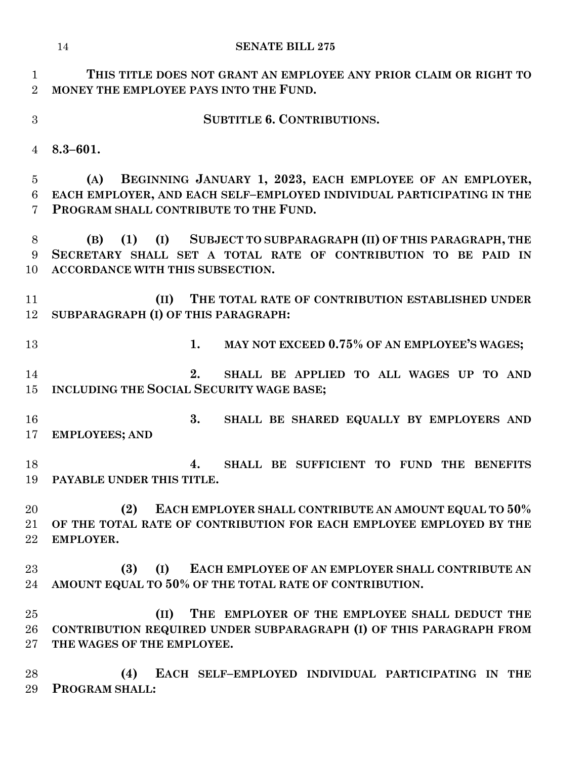| $\mathbf{1}$<br>$\overline{2}$ | THIS TITLE DOES NOT GRANT AN EMPLOYEE ANY PRIOR CLAIM OR RIGHT TO<br>MONEY THE EMPLOYEE PAYS INTO THE FUND. |
|--------------------------------|-------------------------------------------------------------------------------------------------------------|
| 3                              | <b>SUBTITLE 6. CONTRIBUTIONS.</b>                                                                           |
| $\overline{4}$                 | $8.3 - 601.$                                                                                                |
| 5                              | BEGINNING JANUARY 1, 2023, EACH EMPLOYEE OF AN EMPLOYER,<br>(A)                                             |
| 6                              | EACH EMPLOYER, AND EACH SELF-EMPLOYED INDIVIDUAL PARTICIPATING IN THE                                       |
| 7                              | PROGRAM SHALL CONTRIBUTE TO THE FUND.                                                                       |
| 8                              | (1) (I) SUBJECT TO SUBPARAGRAPH (II) OF THIS PARAGRAPH, THE<br>(B)                                          |
| 9                              | SECRETARY SHALL SET A TOTAL RATE OF CONTRIBUTION TO BE PAID IN                                              |
| 10                             | ACCORDANCE WITH THIS SUBSECTION.                                                                            |
| 11                             | THE TOTAL RATE OF CONTRIBUTION ESTABLISHED UNDER<br>(II)                                                    |
| 12                             | SUBPARAGRAPH (I) OF THIS PARAGRAPH:                                                                         |
| 13                             | MAY NOT EXCEED 0.75% OF AN EMPLOYEE'S WAGES;<br>1.                                                          |
| 14                             | 2.<br>SHALL BE APPLIED TO ALL WAGES UP TO AND                                                               |
| 15                             | INCLUDING THE SOCIAL SECURITY WAGE BASE;                                                                    |
| 16                             | 3.<br>SHALL BE SHARED EQUALLY BY EMPLOYERS AND                                                              |
| 17                             | <b>EMPLOYEES; AND</b>                                                                                       |
| 18                             | SHALL BE SUFFICIENT TO FUND THE BENEFITS<br>4.                                                              |
| 19                             | PAYABLE UNDER THIS TITLE.                                                                                   |
| 20                             | EACH EMPLOYER SHALL CONTRIBUTE AN AMOUNT EQUAL TO 50%<br>(2)                                                |
| 21                             | OF THE TOTAL RATE OF CONTRIBUTION FOR EACH EMPLOYEE EMPLOYED BY THE                                         |
| 22                             | EMPLOYER.                                                                                                   |
| $23\,$                         | (I)<br>EACH EMPLOYEE OF AN EMPLOYER SHALL CONTRIBUTE AN<br>(3)                                              |
| 24                             | AMOUNT EQUAL TO 50% OF THE TOTAL RATE OF CONTRIBUTION.                                                      |
| 25                             | THE EMPLOYER OF THE EMPLOYEE SHALL DEDUCT THE<br>(II)                                                       |
| 26                             | CONTRIBUTION REQUIRED UNDER SUBPARAGRAPH (I) OF THIS PARAGRAPH FROM                                         |
| $27\,$                         | THE WAGES OF THE EMPLOYEE.                                                                                  |
| 28                             | (4)<br>EACH SELF-EMPLOYED INDIVIDUAL PARTICIPATING IN THE                                                   |

**PROGRAM SHALL:**

**EMPLOYER.**

# **SENATE BILL 275**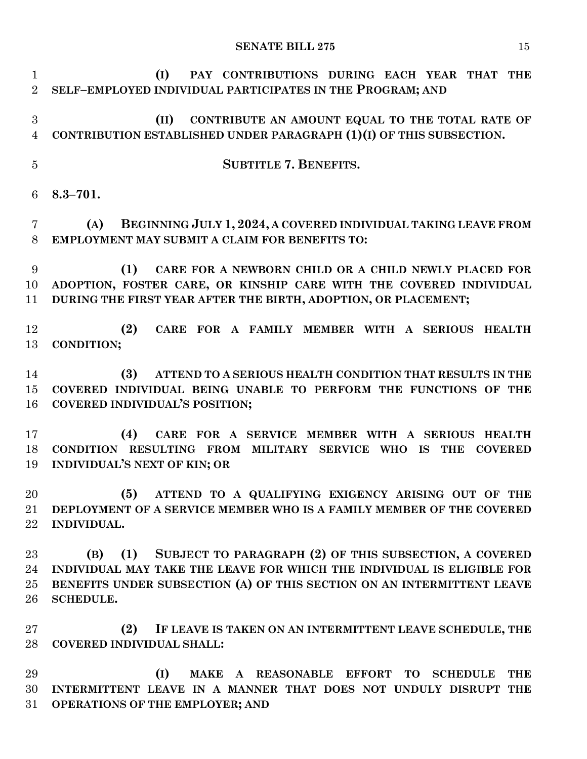**(I) PAY CONTRIBUTIONS DURING EACH YEAR THAT THE SELF–EMPLOYED INDIVIDUAL PARTICIPATES IN THE PROGRAM; AND (II) CONTRIBUTE AN AMOUNT EQUAL TO THE TOTAL RATE OF CONTRIBUTION ESTABLISHED UNDER PARAGRAPH (1)(I) OF THIS SUBSECTION. SUBTITLE 7. BENEFITS. 8.3–701. (A) BEGINNING JULY 1, 2024, A COVERED INDIVIDUAL TAKING LEAVE FROM EMPLOYMENT MAY SUBMIT A CLAIM FOR BENEFITS TO: (1) CARE FOR A NEWBORN CHILD OR A CHILD NEWLY PLACED FOR ADOPTION, FOSTER CARE, OR KINSHIP CARE WITH THE COVERED INDIVIDUAL DURING THE FIRST YEAR AFTER THE BIRTH, ADOPTION, OR PLACEMENT; (2) CARE FOR A FAMILY MEMBER WITH A SERIOUS HEALTH CONDITION; (3) ATTEND TO A SERIOUS HEALTH CONDITION THAT RESULTS IN THE COVERED INDIVIDUAL BEING UNABLE TO PERFORM THE FUNCTIONS OF THE COVERED INDIVIDUAL'S POSITION; (4) CARE FOR A SERVICE MEMBER WITH A SERIOUS HEALTH CONDITION RESULTING FROM MILITARY SERVICE WHO IS THE COVERED INDIVIDUAL'S NEXT OF KIN; OR (5) ATTEND TO A QUALIFYING EXIGENCY ARISING OUT OF THE DEPLOYMENT OF A SERVICE MEMBER WHO IS A FAMILY MEMBER OF THE COVERED INDIVIDUAL. (B) (1) SUBJECT TO PARAGRAPH (2) OF THIS SUBSECTION, A COVERED INDIVIDUAL MAY TAKE THE LEAVE FOR WHICH THE INDIVIDUAL IS ELIGIBLE FOR BENEFITS UNDER SUBSECTION (A) OF THIS SECTION ON AN INTERMITTENT LEAVE SCHEDULE. (2) IF LEAVE IS TAKEN ON AN INTERMITTENT LEAVE SCHEDULE, THE COVERED INDIVIDUAL SHALL: (I) MAKE A REASONABLE EFFORT TO SCHEDULE THE INTERMITTENT LEAVE IN A MANNER THAT DOES NOT UNDULY DISRUPT THE OPERATIONS OF THE EMPLOYER; AND**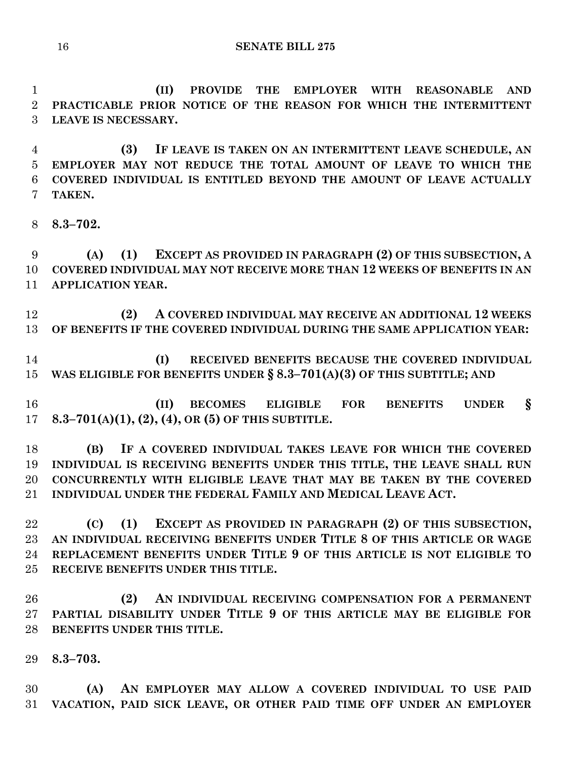**(II) PROVIDE THE EMPLOYER WITH REASONABLE AND PRACTICABLE PRIOR NOTICE OF THE REASON FOR WHICH THE INTERMITTENT LEAVE IS NECESSARY.**

 **(3) IF LEAVE IS TAKEN ON AN INTERMITTENT LEAVE SCHEDULE, AN EMPLOYER MAY NOT REDUCE THE TOTAL AMOUNT OF LEAVE TO WHICH THE COVERED INDIVIDUAL IS ENTITLED BEYOND THE AMOUNT OF LEAVE ACTUALLY TAKEN.**

**8.3–702.**

 **(A) (1) EXCEPT AS PROVIDED IN PARAGRAPH (2) OF THIS SUBSECTION, A COVERED INDIVIDUAL MAY NOT RECEIVE MORE THAN 12 WEEKS OF BENEFITS IN AN APPLICATION YEAR.**

 **(2) A COVERED INDIVIDUAL MAY RECEIVE AN ADDITIONAL 12 WEEKS OF BENEFITS IF THE COVERED INDIVIDUAL DURING THE SAME APPLICATION YEAR:**

 **(I) RECEIVED BENEFITS BECAUSE THE COVERED INDIVIDUAL WAS ELIGIBLE FOR BENEFITS UNDER § 8.3–701(A)(3) OF THIS SUBTITLE; AND**

 **(II) BECOMES ELIGIBLE FOR BENEFITS UNDER § 8.3–701(A)(1), (2), (4), OR (5) OF THIS SUBTITLE.**

 **(B) IF A COVERED INDIVIDUAL TAKES LEAVE FOR WHICH THE COVERED INDIVIDUAL IS RECEIVING BENEFITS UNDER THIS TITLE, THE LEAVE SHALL RUN CONCURRENTLY WITH ELIGIBLE LEAVE THAT MAY BE TAKEN BY THE COVERED INDIVIDUAL UNDER THE FEDERAL FAMILY AND MEDICAL LEAVE ACT.**

 **(C) (1) EXCEPT AS PROVIDED IN PARAGRAPH (2) OF THIS SUBSECTION, AN INDIVIDUAL RECEIVING BENEFITS UNDER TITLE 8 OF THIS ARTICLE OR WAGE REPLACEMENT BENEFITS UNDER TITLE 9 OF THIS ARTICLE IS NOT ELIGIBLE TO RECEIVE BENEFITS UNDER THIS TITLE.**

 **(2) AN INDIVIDUAL RECEIVING COMPENSATION FOR A PERMANENT PARTIAL DISABILITY UNDER TITLE 9 OF THIS ARTICLE MAY BE ELIGIBLE FOR BENEFITS UNDER THIS TITLE.**

**8.3–703.**

 **(A) AN EMPLOYER MAY ALLOW A COVERED INDIVIDUAL TO USE PAID VACATION, PAID SICK LEAVE, OR OTHER PAID TIME OFF UNDER AN EMPLOYER**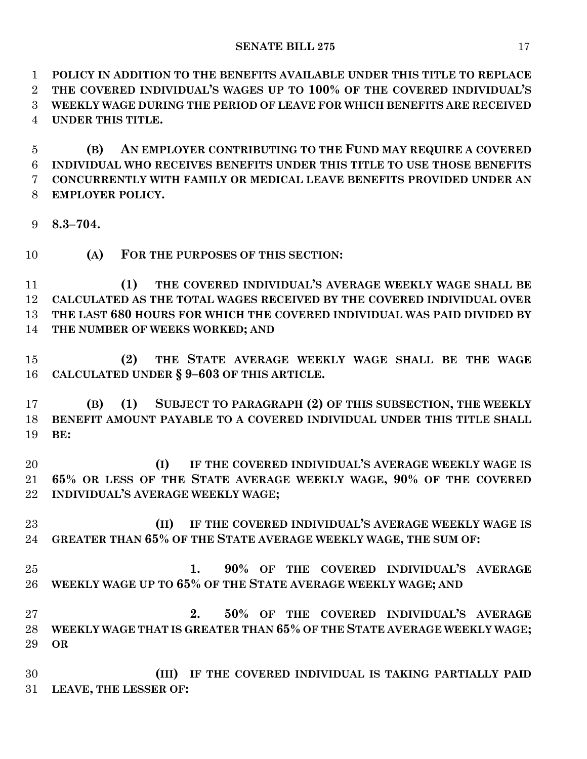**POLICY IN ADDITION TO THE BENEFITS AVAILABLE UNDER THIS TITLE TO REPLACE THE COVERED INDIVIDUAL'S WAGES UP TO 100% OF THE COVERED INDIVIDUAL'S WEEKLY WAGE DURING THE PERIOD OF LEAVE FOR WHICH BENEFITS ARE RECEIVED UNDER THIS TITLE.**

 **(B) AN EMPLOYER CONTRIBUTING TO THE FUND MAY REQUIRE A COVERED INDIVIDUAL WHO RECEIVES BENEFITS UNDER THIS TITLE TO USE THOSE BENEFITS CONCURRENTLY WITH FAMILY OR MEDICAL LEAVE BENEFITS PROVIDED UNDER AN EMPLOYER POLICY.**

- **8.3–704.**
- **(A) FOR THE PURPOSES OF THIS SECTION:**

 **(1) THE COVERED INDIVIDUAL'S AVERAGE WEEKLY WAGE SHALL BE CALCULATED AS THE TOTAL WAGES RECEIVED BY THE COVERED INDIVIDUAL OVER THE LAST 680 HOURS FOR WHICH THE COVERED INDIVIDUAL WAS PAID DIVIDED BY THE NUMBER OF WEEKS WORKED; AND**

 **(2) THE STATE AVERAGE WEEKLY WAGE SHALL BE THE WAGE CALCULATED UNDER § 9–603 OF THIS ARTICLE.**

 **(B) (1) SUBJECT TO PARAGRAPH (2) OF THIS SUBSECTION, THE WEEKLY BENEFIT AMOUNT PAYABLE TO A COVERED INDIVIDUAL UNDER THIS TITLE SHALL BE:**

 **(I) IF THE COVERED INDIVIDUAL'S AVERAGE WEEKLY WAGE IS 65% OR LESS OF THE STATE AVERAGE WEEKLY WAGE, 90% OF THE COVERED INDIVIDUAL'S AVERAGE WEEKLY WAGE;**

 **(II) IF THE COVERED INDIVIDUAL'S AVERAGE WEEKLY WAGE IS GREATER THAN 65% OF THE STATE AVERAGE WEEKLY WAGE, THE SUM OF:**

 **1. 90% OF THE COVERED INDIVIDUAL'S AVERAGE WEEKLY WAGE UP TO 65% OF THE STATE AVERAGE WEEKLY WAGE; AND**

 **2. 50% OF THE COVERED INDIVIDUAL'S AVERAGE WEEKLY WAGE THAT IS GREATER THAN 65% OF THE STATE AVERAGE WEEKLY WAGE; OR**

 **(III) IF THE COVERED INDIVIDUAL IS TAKING PARTIALLY PAID LEAVE, THE LESSER OF:**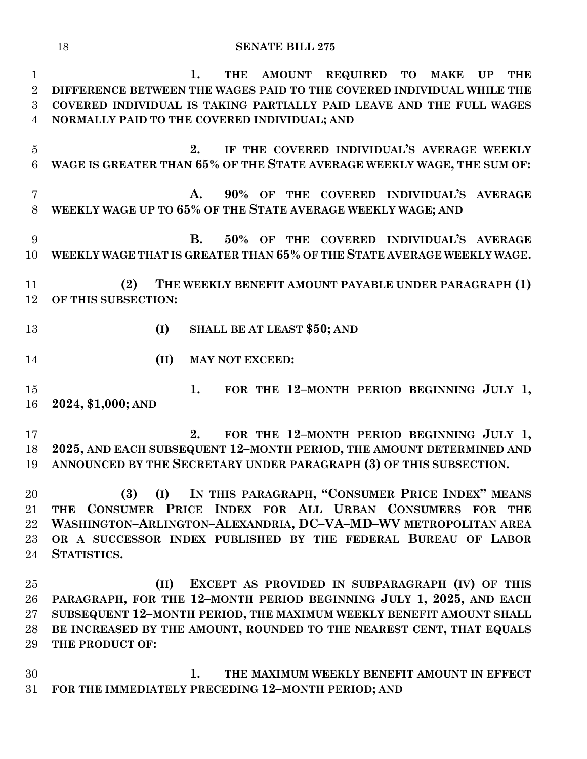**SENATE BILL 275**

 **1. THE AMOUNT REQUIRED TO MAKE UP THE DIFFERENCE BETWEEN THE WAGES PAID TO THE COVERED INDIVIDUAL WHILE THE COVERED INDIVIDUAL IS TAKING PARTIALLY PAID LEAVE AND THE FULL WAGES NORMALLY PAID TO THE COVERED INDIVIDUAL; AND 2. IF THE COVERED INDIVIDUAL'S AVERAGE WEEKLY WAGE IS GREATER THAN 65% OF THE STATE AVERAGE WEEKLY WAGE, THE SUM OF: A. 90% OF THE COVERED INDIVIDUAL'S AVERAGE WEEKLY WAGE UP TO 65% OF THE STATE AVERAGE WEEKLY WAGE; AND B. 50% OF THE COVERED INDIVIDUAL'S AVERAGE WEEKLY WAGE THAT IS GREATER THAN 65% OF THE STATE AVERAGE WEEKLY WAGE. (2) THE WEEKLY BENEFIT AMOUNT PAYABLE UNDER PARAGRAPH (1) OF THIS SUBSECTION: (I) SHALL BE AT LEAST \$50; AND (II) MAY NOT EXCEED: 1. FOR THE 12–MONTH PERIOD BEGINNING JULY 1, 2024, \$1,000; AND 2. FOR THE 12–MONTH PERIOD BEGINNING JULY 1, 2025, AND EACH SUBSEQUENT 12–MONTH PERIOD, THE AMOUNT DETERMINED AND ANNOUNCED BY THE SECRETARY UNDER PARAGRAPH (3) OF THIS SUBSECTION. (3) (I) IN THIS PARAGRAPH, "CONSUMER PRICE INDEX" MEANS THE CONSUMER PRICE INDEX FOR ALL URBAN CONSUMERS FOR THE WASHINGTON–ARLINGTON–ALEXANDRIA, DC–VA–MD–WV METROPOLITAN AREA OR A SUCCESSOR INDEX PUBLISHED BY THE FEDERAL BUREAU OF LABOR STATISTICS. (II) EXCEPT AS PROVIDED IN SUBPARAGRAPH (IV) OF THIS PARAGRAPH, FOR THE 12–MONTH PERIOD BEGINNING JULY 1, 2025, AND EACH SUBSEQUENT 12–MONTH PERIOD, THE MAXIMUM WEEKLY BENEFIT AMOUNT SHALL BE INCREASED BY THE AMOUNT, ROUNDED TO THE NEAREST CENT, THAT EQUALS THE PRODUCT OF: 1. THE MAXIMUM WEEKLY BENEFIT AMOUNT IN EFFECT** 

**FOR THE IMMEDIATELY PRECEDING 12–MONTH PERIOD; AND**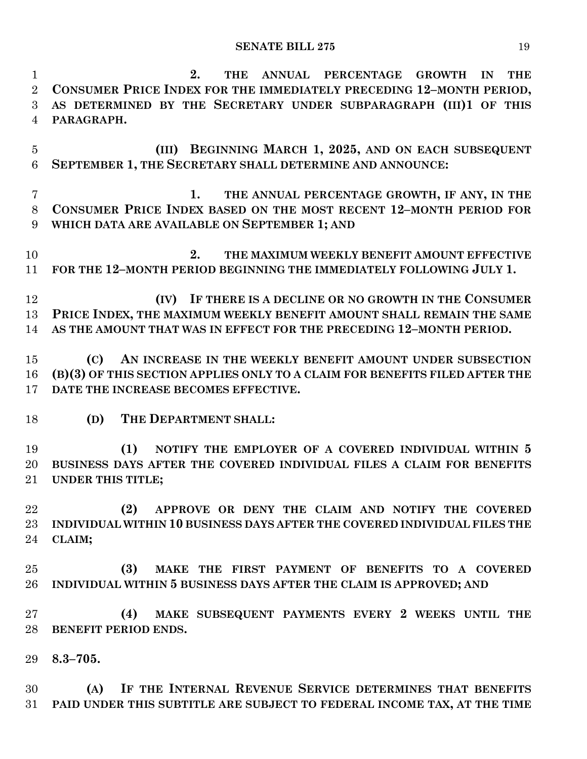**2. THE ANNUAL PERCENTAGE GROWTH IN THE CONSUMER PRICE INDEX FOR THE IMMEDIATELY PRECEDING 12–MONTH PERIOD, AS DETERMINED BY THE SECRETARY UNDER SUBPARAGRAPH (III)1 OF THIS PARAGRAPH. (III) BEGINNING MARCH 1, 2025, AND ON EACH SUBSEQUENT SEPTEMBER 1, THE SECRETARY SHALL DETERMINE AND ANNOUNCE: 1. THE ANNUAL PERCENTAGE GROWTH, IF ANY, IN THE CONSUMER PRICE INDEX BASED ON THE MOST RECENT 12–MONTH PERIOD FOR WHICH DATA ARE AVAILABLE ON SEPTEMBER 1; AND 2. THE MAXIMUM WEEKLY BENEFIT AMOUNT EFFECTIVE FOR THE 12–MONTH PERIOD BEGINNING THE IMMEDIATELY FOLLOWING JULY 1. (IV) IF THERE IS A DECLINE OR NO GROWTH IN THE CONSUMER PRICE INDEX, THE MAXIMUM WEEKLY BENEFIT AMOUNT SHALL REMAIN THE SAME AS THE AMOUNT THAT WAS IN EFFECT FOR THE PRECEDING 12–MONTH PERIOD. (C) AN INCREASE IN THE WEEKLY BENEFIT AMOUNT UNDER SUBSECTION (B)(3) OF THIS SECTION APPLIES ONLY TO A CLAIM FOR BENEFITS FILED AFTER THE DATE THE INCREASE BECOMES EFFECTIVE. (D) THE DEPARTMENT SHALL: (1) NOTIFY THE EMPLOYER OF A COVERED INDIVIDUAL WITHIN 5 BUSINESS DAYS AFTER THE COVERED INDIVIDUAL FILES A CLAIM FOR BENEFITS UNDER THIS TITLE; (2) APPROVE OR DENY THE CLAIM AND NOTIFY THE COVERED INDIVIDUAL WITHIN 10 BUSINESS DAYS AFTER THE COVERED INDIVIDUAL FILES THE CLAIM; (3) MAKE THE FIRST PAYMENT OF BENEFITS TO A COVERED INDIVIDUAL WITHIN 5 BUSINESS DAYS AFTER THE CLAIM IS APPROVED; AND (4) MAKE SUBSEQUENT PAYMENTS EVERY 2 WEEKS UNTIL THE BENEFIT PERIOD ENDS. 8.3–705. (A) IF THE INTERNAL REVENUE SERVICE DETERMINES THAT BENEFITS PAID UNDER THIS SUBTITLE ARE SUBJECT TO FEDERAL INCOME TAX, AT THE TIME**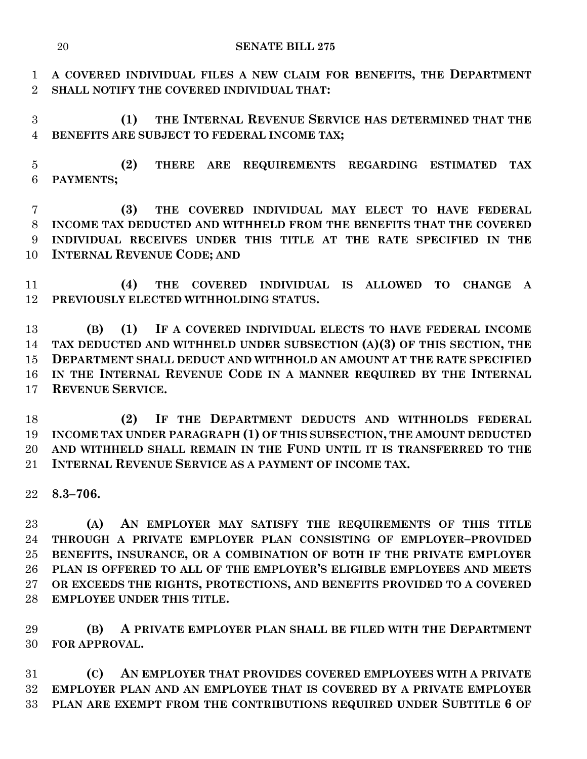**A COVERED INDIVIDUAL FILES A NEW CLAIM FOR BENEFITS, THE DEPARTMENT SHALL NOTIFY THE COVERED INDIVIDUAL THAT:**

 **(1) THE INTERNAL REVENUE SERVICE HAS DETERMINED THAT THE BENEFITS ARE SUBJECT TO FEDERAL INCOME TAX;**

 **(2) THERE ARE REQUIREMENTS REGARDING ESTIMATED TAX PAYMENTS;**

 **(3) THE COVERED INDIVIDUAL MAY ELECT TO HAVE FEDERAL INCOME TAX DEDUCTED AND WITHHELD FROM THE BENEFITS THAT THE COVERED INDIVIDUAL RECEIVES UNDER THIS TITLE AT THE RATE SPECIFIED IN THE INTERNAL REVENUE CODE; AND**

 **(4) THE COVERED INDIVIDUAL IS ALLOWED TO CHANGE A PREVIOUSLY ELECTED WITHHOLDING STATUS.**

 **(B) (1) IF A COVERED INDIVIDUAL ELECTS TO HAVE FEDERAL INCOME TAX DEDUCTED AND WITHHELD UNDER SUBSECTION (A)(3) OF THIS SECTION, THE DEPARTMENT SHALL DEDUCT AND WITHHOLD AN AMOUNT AT THE RATE SPECIFIED IN THE INTERNAL REVENUE CODE IN A MANNER REQUIRED BY THE INTERNAL REVENUE SERVICE.**

 **(2) IF THE DEPARTMENT DEDUCTS AND WITHHOLDS FEDERAL INCOME TAX UNDER PARAGRAPH (1) OF THIS SUBSECTION, THE AMOUNT DEDUCTED AND WITHHELD SHALL REMAIN IN THE FUND UNTIL IT IS TRANSFERRED TO THE INTERNAL REVENUE SERVICE AS A PAYMENT OF INCOME TAX.**

**8.3–706.**

 **(A) AN EMPLOYER MAY SATISFY THE REQUIREMENTS OF THIS TITLE THROUGH A PRIVATE EMPLOYER PLAN CONSISTING OF EMPLOYER–PROVIDED BENEFITS, INSURANCE, OR A COMBINATION OF BOTH IF THE PRIVATE EMPLOYER PLAN IS OFFERED TO ALL OF THE EMPLOYER'S ELIGIBLE EMPLOYEES AND MEETS OR EXCEEDS THE RIGHTS, PROTECTIONS, AND BENEFITS PROVIDED TO A COVERED EMPLOYEE UNDER THIS TITLE.**

 **(B) A PRIVATE EMPLOYER PLAN SHALL BE FILED WITH THE DEPARTMENT FOR APPROVAL.**

 **(C) AN EMPLOYER THAT PROVIDES COVERED EMPLOYEES WITH A PRIVATE EMPLOYER PLAN AND AN EMPLOYEE THAT IS COVERED BY A PRIVATE EMPLOYER PLAN ARE EXEMPT FROM THE CONTRIBUTIONS REQUIRED UNDER SUBTITLE 6 OF**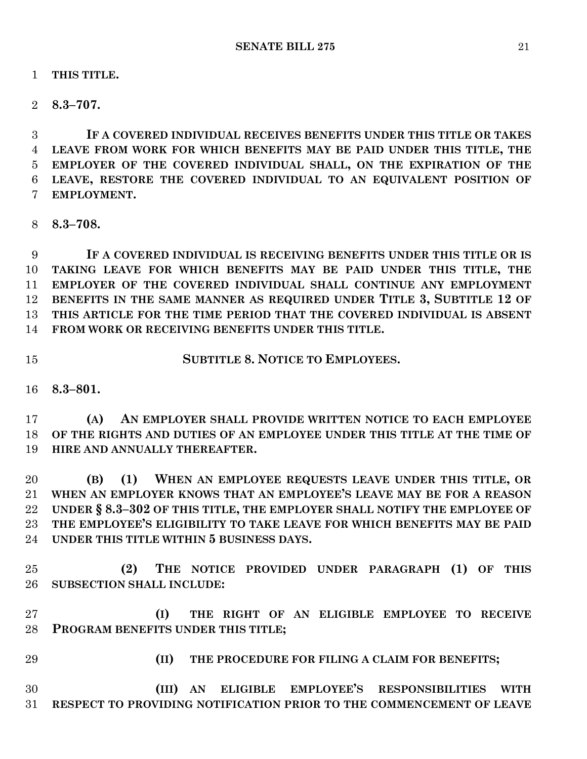**THIS TITLE.**

**8.3–707.**

 **IF A COVERED INDIVIDUAL RECEIVES BENEFITS UNDER THIS TITLE OR TAKES LEAVE FROM WORK FOR WHICH BENEFITS MAY BE PAID UNDER THIS TITLE, THE EMPLOYER OF THE COVERED INDIVIDUAL SHALL, ON THE EXPIRATION OF THE LEAVE, RESTORE THE COVERED INDIVIDUAL TO AN EQUIVALENT POSITION OF EMPLOYMENT.**

**8.3–708.**

 **IF A COVERED INDIVIDUAL IS RECEIVING BENEFITS UNDER THIS TITLE OR IS TAKING LEAVE FOR WHICH BENEFITS MAY BE PAID UNDER THIS TITLE, THE EMPLOYER OF THE COVERED INDIVIDUAL SHALL CONTINUE ANY EMPLOYMENT BENEFITS IN THE SAME MANNER AS REQUIRED UNDER TITLE 3, SUBTITLE 12 OF THIS ARTICLE FOR THE TIME PERIOD THAT THE COVERED INDIVIDUAL IS ABSENT FROM WORK OR RECEIVING BENEFITS UNDER THIS TITLE.**

**SUBTITLE 8. NOTICE TO EMPLOYEES.**

**8.3–801.**

 **(A) AN EMPLOYER SHALL PROVIDE WRITTEN NOTICE TO EACH EMPLOYEE OF THE RIGHTS AND DUTIES OF AN EMPLOYEE UNDER THIS TITLE AT THE TIME OF HIRE AND ANNUALLY THEREAFTER.**

 **(B) (1) WHEN AN EMPLOYEE REQUESTS LEAVE UNDER THIS TITLE, OR WHEN AN EMPLOYER KNOWS THAT AN EMPLOYEE'S LEAVE MAY BE FOR A REASON UNDER § 8.3–302 OF THIS TITLE, THE EMPLOYER SHALL NOTIFY THE EMPLOYEE OF THE EMPLOYEE'S ELIGIBILITY TO TAKE LEAVE FOR WHICH BENEFITS MAY BE PAID UNDER THIS TITLE WITHIN 5 BUSINESS DAYS.**

 **(2) THE NOTICE PROVIDED UNDER PARAGRAPH (1) OF THIS SUBSECTION SHALL INCLUDE:**

 **(I) THE RIGHT OF AN ELIGIBLE EMPLOYEE TO RECEIVE PROGRAM BENEFITS UNDER THIS TITLE;**

**(II) THE PROCEDURE FOR FILING A CLAIM FOR BENEFITS;**

 **(III) AN ELIGIBLE EMPLOYEE'S RESPONSIBILITIES WITH RESPECT TO PROVIDING NOTIFICATION PRIOR TO THE COMMENCEMENT OF LEAVE**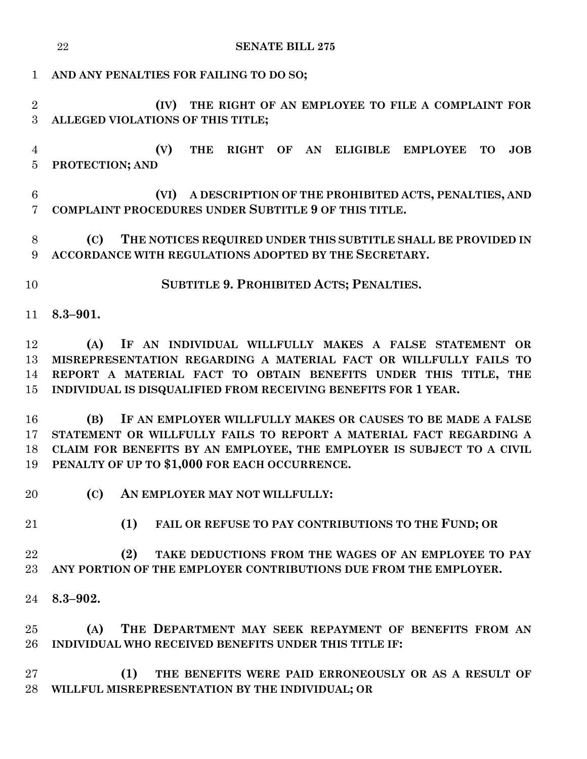|                                              | 22<br><b>SENATE BILL 275</b>                                                                                                                                                                                                                                                                                                                                                                                                                                                                                                                 |
|----------------------------------------------|----------------------------------------------------------------------------------------------------------------------------------------------------------------------------------------------------------------------------------------------------------------------------------------------------------------------------------------------------------------------------------------------------------------------------------------------------------------------------------------------------------------------------------------------|
| $\mathbf{1}$                                 | AND ANY PENALTIES FOR FAILING TO DO SO;                                                                                                                                                                                                                                                                                                                                                                                                                                                                                                      |
| $\overline{2}$<br>3                          | (IV) THE RIGHT OF AN EMPLOYEE TO FILE A COMPLAINT FOR<br>ALLEGED VIOLATIONS OF THIS TITLE;                                                                                                                                                                                                                                                                                                                                                                                                                                                   |
| $\overline{4}$<br>$\overline{5}$             | (V)<br>RIGHT OF AN ELIGIBLE EMPLOYEE<br><b>THE</b><br><b>TO</b><br>JOB<br>PROTECTION; AND                                                                                                                                                                                                                                                                                                                                                                                                                                                    |
| 6<br>$\overline{7}$                          | A DESCRIPTION OF THE PROHIBITED ACTS, PENALTIES, AND<br>(VI)<br>COMPLAINT PROCEDURES UNDER SUBTITLE 9 OF THIS TITLE.                                                                                                                                                                                                                                                                                                                                                                                                                         |
| $8\,$<br>9                                   | THE NOTICES REQUIRED UNDER THIS SUBTITLE SHALL BE PROVIDED IN<br>(C)<br>ACCORDANCE WITH REGULATIONS ADOPTED BY THE SECRETARY.                                                                                                                                                                                                                                                                                                                                                                                                                |
| 10                                           | SUBTITLE 9. PROHIBITED ACTS; PENALTIES.                                                                                                                                                                                                                                                                                                                                                                                                                                                                                                      |
| 11                                           | $8.3 - 901.$                                                                                                                                                                                                                                                                                                                                                                                                                                                                                                                                 |
| 12<br>13<br>14<br>15<br>16<br>17<br>18<br>19 | IF AN INDIVIDUAL WILLFULLY MAKES A FALSE STATEMENT OR<br>(A)<br>MISREPRESENTATION REGARDING A MATERIAL FACT OR WILLFULLY FAILS TO<br>REPORT A MATERIAL FACT TO OBTAIN BENEFITS UNDER THIS TITLE, THE<br>INDIVIDUAL IS DISQUALIFIED FROM RECEIVING BENEFITS FOR 1 YEAR.<br>IF AN EMPLOYER WILLFULLY MAKES OR CAUSES TO BE MADE A FALSE<br>(B)<br>STATEMENT OR WILLFULLY FAILS TO REPORT A MATERIAL FACT REGARDING A<br>CLAIM FOR BENEFITS BY AN EMPLOYEE, THE EMPLOYER IS SUBJECT TO A CIVIL<br>PENALTY OF UP TO \$1,000 FOR EACH OCCURRENCE. |
| 20                                           | (C)<br>AN EMPLOYER MAY NOT WILLFULLY:                                                                                                                                                                                                                                                                                                                                                                                                                                                                                                        |
| 21                                           | (1)<br>FAIL OR REFUSE TO PAY CONTRIBUTIONS TO THE FUND; OR                                                                                                                                                                                                                                                                                                                                                                                                                                                                                   |
| 22<br>23                                     | (2)<br>TAKE DEDUCTIONS FROM THE WAGES OF AN EMPLOYEE TO PAY<br>ANY PORTION OF THE EMPLOYER CONTRIBUTIONS DUE FROM THE EMPLOYER.                                                                                                                                                                                                                                                                                                                                                                                                              |
| 24                                           | $8.3 - 902.$                                                                                                                                                                                                                                                                                                                                                                                                                                                                                                                                 |
| 25<br>26                                     | THE DEPARTMENT MAY SEEK REPAYMENT OF BENEFITS FROM AN<br>(A)<br>INDIVIDUAL WHO RECEIVED BENEFITS UNDER THIS TITLE IF:                                                                                                                                                                                                                                                                                                                                                                                                                        |
| 27<br>28                                     | (1)<br>THE BENEFITS WERE PAID ERRONEOUSLY OR AS A RESULT OF<br>WILLFUL MISREPRESENTATION BY THE INDIVIDUAL; OR                                                                                                                                                                                                                                                                                                                                                                                                                               |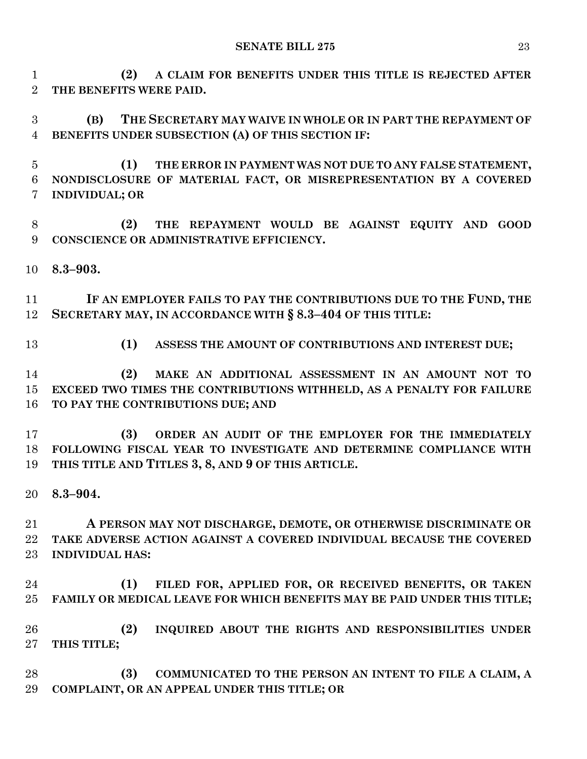**(2) A CLAIM FOR BENEFITS UNDER THIS TITLE IS REJECTED AFTER THE BENEFITS WERE PAID.**

 **(B) THE SECRETARY MAY WAIVE IN WHOLE OR IN PART THE REPAYMENT OF BENEFITS UNDER SUBSECTION (A) OF THIS SECTION IF:**

 **(1) THE ERROR IN PAYMENT WAS NOT DUE TO ANY FALSE STATEMENT, NONDISCLOSURE OF MATERIAL FACT, OR MISREPRESENTATION BY A COVERED INDIVIDUAL; OR**

 **(2) THE REPAYMENT WOULD BE AGAINST EQUITY AND GOOD CONSCIENCE OR ADMINISTRATIVE EFFICIENCY.**

**8.3–903.**

 **IF AN EMPLOYER FAILS TO PAY THE CONTRIBUTIONS DUE TO THE FUND, THE SECRETARY MAY, IN ACCORDANCE WITH § 8.3–404 OF THIS TITLE:**

**(1) ASSESS THE AMOUNT OF CONTRIBUTIONS AND INTEREST DUE;**

 **(2) MAKE AN ADDITIONAL ASSESSMENT IN AN AMOUNT NOT TO EXCEED TWO TIMES THE CONTRIBUTIONS WITHHELD, AS A PENALTY FOR FAILURE TO PAY THE CONTRIBUTIONS DUE; AND**

 **(3) ORDER AN AUDIT OF THE EMPLOYER FOR THE IMMEDIATELY FOLLOWING FISCAL YEAR TO INVESTIGATE AND DETERMINE COMPLIANCE WITH THIS TITLE AND TITLES 3, 8, AND 9 OF THIS ARTICLE.**

**8.3–904.**

 **A PERSON MAY NOT DISCHARGE, DEMOTE, OR OTHERWISE DISCRIMINATE OR TAKE ADVERSE ACTION AGAINST A COVERED INDIVIDUAL BECAUSE THE COVERED INDIVIDUAL HAS:**

 **(1) FILED FOR, APPLIED FOR, OR RECEIVED BENEFITS, OR TAKEN FAMILY OR MEDICAL LEAVE FOR WHICH BENEFITS MAY BE PAID UNDER THIS TITLE;**

 **(2) INQUIRED ABOUT THE RIGHTS AND RESPONSIBILITIES UNDER THIS TITLE;**

 **(3) COMMUNICATED TO THE PERSON AN INTENT TO FILE A CLAIM, A COMPLAINT, OR AN APPEAL UNDER THIS TITLE; OR**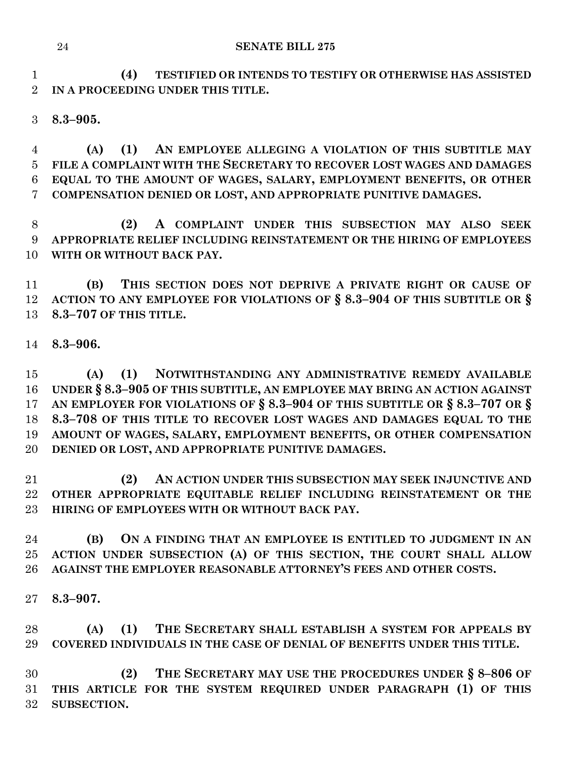**(4) TESTIFIED OR INTENDS TO TESTIFY OR OTHERWISE HAS ASSISTED IN A PROCEEDING UNDER THIS TITLE.**

**8.3–905.**

 **(A) (1) AN EMPLOYEE ALLEGING A VIOLATION OF THIS SUBTITLE MAY FILE A COMPLAINT WITH THE SECRETARY TO RECOVER LOST WAGES AND DAMAGES EQUAL TO THE AMOUNT OF WAGES, SALARY, EMPLOYMENT BENEFITS, OR OTHER COMPENSATION DENIED OR LOST, AND APPROPRIATE PUNITIVE DAMAGES.**

 **(2) A COMPLAINT UNDER THIS SUBSECTION MAY ALSO SEEK APPROPRIATE RELIEF INCLUDING REINSTATEMENT OR THE HIRING OF EMPLOYEES WITH OR WITHOUT BACK PAY.**

 **(B) THIS SECTION DOES NOT DEPRIVE A PRIVATE RIGHT OR CAUSE OF ACTION TO ANY EMPLOYEE FOR VIOLATIONS OF § 8.3–904 OF THIS SUBTITLE OR § 8.3–707 OF THIS TITLE.**

**8.3–906.**

 **(A) (1) NOTWITHSTANDING ANY ADMINISTRATIVE REMEDY AVAILABLE UNDER § 8.3–905 OF THIS SUBTITLE, AN EMPLOYEE MAY BRING AN ACTION AGAINST AN EMPLOYER FOR VIOLATIONS OF § 8.3–904 OF THIS SUBTITLE OR § 8.3–707 OR § 8.3–708 OF THIS TITLE TO RECOVER LOST WAGES AND DAMAGES EQUAL TO THE AMOUNT OF WAGES, SALARY, EMPLOYMENT BENEFITS, OR OTHER COMPENSATION DENIED OR LOST, AND APPROPRIATE PUNITIVE DAMAGES.**

 **(2) AN ACTION UNDER THIS SUBSECTION MAY SEEK INJUNCTIVE AND OTHER APPROPRIATE EQUITABLE RELIEF INCLUDING REINSTATEMENT OR THE HIRING OF EMPLOYEES WITH OR WITHOUT BACK PAY.**

 **(B) ON A FINDING THAT AN EMPLOYEE IS ENTITLED TO JUDGMENT IN AN ACTION UNDER SUBSECTION (A) OF THIS SECTION, THE COURT SHALL ALLOW AGAINST THE EMPLOYER REASONABLE ATTORNEY'S FEES AND OTHER COSTS.**

**8.3–907.**

 **(A) (1) THE SECRETARY SHALL ESTABLISH A SYSTEM FOR APPEALS BY COVERED INDIVIDUALS IN THE CASE OF DENIAL OF BENEFITS UNDER THIS TITLE.**

 **(2) THE SECRETARY MAY USE THE PROCEDURES UNDER § 8–806 OF THIS ARTICLE FOR THE SYSTEM REQUIRED UNDER PARAGRAPH (1) OF THIS SUBSECTION.**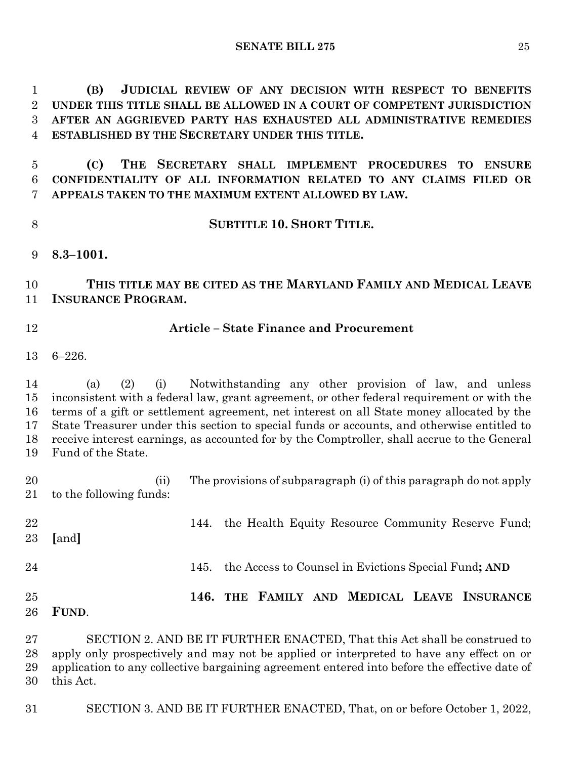**(B) JUDICIAL REVIEW OF ANY DECISION WITH RESPECT TO BENEFITS UNDER THIS TITLE SHALL BE ALLOWED IN A COURT OF COMPETENT JURISDICTION AFTER AN AGGRIEVED PARTY HAS EXHAUSTED ALL ADMINISTRATIVE REMEDIES ESTABLISHED BY THE SECRETARY UNDER THIS TITLE.**

 **(C) THE SECRETARY SHALL IMPLEMENT PROCEDURES TO ENSURE CONFIDENTIALITY OF ALL INFORMATION RELATED TO ANY CLAIMS FILED OR APPEALS TAKEN TO THE MAXIMUM EXTENT ALLOWED BY LAW.**

**SUBTITLE 10. SHORT TITLE.**

**8.3–1001.**

 **THIS TITLE MAY BE CITED AS THE MARYLAND FAMILY AND MEDICAL LEAVE INSURANCE PROGRAM.**

## **Article – State Finance and Procurement**

6–226.

 (a) (2) (i) Notwithstanding any other provision of law, and unless inconsistent with a federal law, grant agreement, or other federal requirement or with the terms of a gift or settlement agreement, net interest on all State money allocated by the State Treasurer under this section to special funds or accounts, and otherwise entitled to receive interest earnings, as accounted for by the Comptroller, shall accrue to the General Fund of the State.

 (ii) The provisions of subparagraph (i) of this paragraph do not apply to the following funds: 22 144. the Health Equity Resource Community Reserve Fund; **[**and**]** 145. the Access to Counsel in Evictions Special Fund**; AND 146. THE FAMILY AND MEDICAL LEAVE INSURANCE FUND**. SECTION 2. AND BE IT FURTHER ENACTED, That this Act shall be construed to

 apply only prospectively and may not be applied or interpreted to have any effect on or application to any collective bargaining agreement entered into before the effective date of this Act.

SECTION 3. AND BE IT FURTHER ENACTED, That, on or before October 1, 2022,